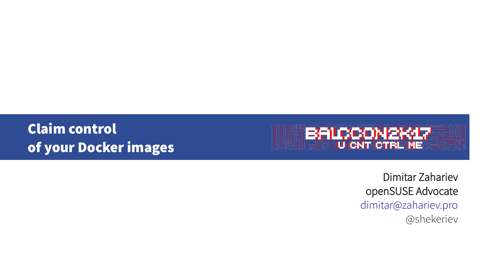Claim control of your Docker images



 Dimitar Zahariev openSUSE Advocate [dimitar@zahariev.pro](mailto:dimitar@zahariev.pro) @shekeriev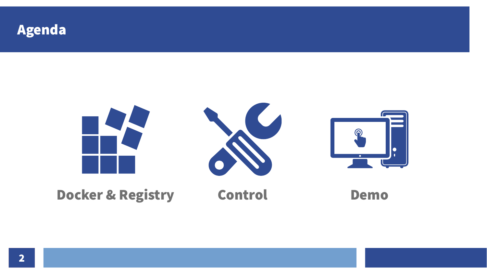

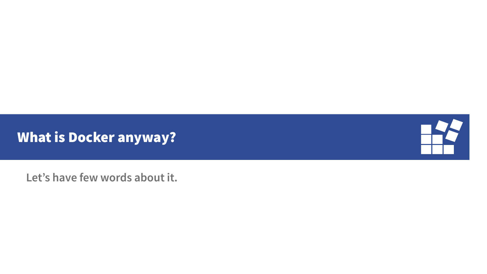What is Docker anyway?



**Let's have few words about it.**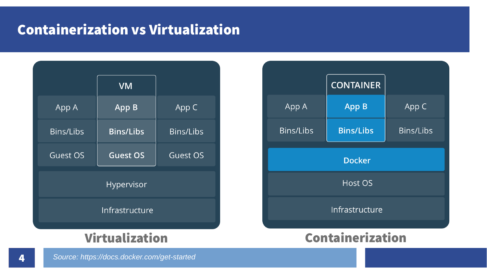## Containerization vs Virtualization

|                       | <b>VM</b>        |                  |  |  |  |
|-----------------------|------------------|------------------|--|--|--|
| App A                 | App B            | App C            |  |  |  |
| <b>Bins/Libs</b>      | <b>Bins/Libs</b> | <b>Bins/Libs</b> |  |  |  |
| <b>Guest OS</b>       | <b>Guest OS</b>  | Guest OS         |  |  |  |
| Hypervisor            |                  |                  |  |  |  |
| <b>Infrastructure</b> |                  |                  |  |  |  |
| where I<br>iwa        |                  |                  |  |  |  |

|                | <b>CONTAINER</b> |                  |  |  |
|----------------|------------------|------------------|--|--|
| App A          | <b>App B</b>     | App C            |  |  |
| Bins/Libs      | <b>Bins/Libs</b> | <b>Bins/Libs</b> |  |  |
| <b>Docker</b>  |                  |                  |  |  |
| <b>Host OS</b> |                  |                  |  |  |
| Infrastructure |                  |                  |  |  |
| ۰              |                  |                  |  |  |

#### Virtualization Containerization

*Source: https://docs.docker.com/get-started*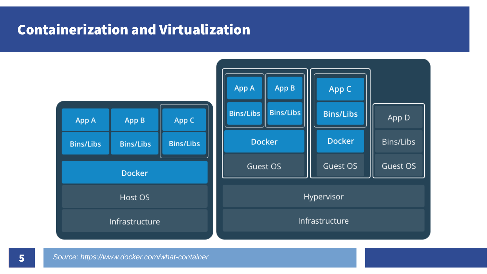## Containerization and Virtualization

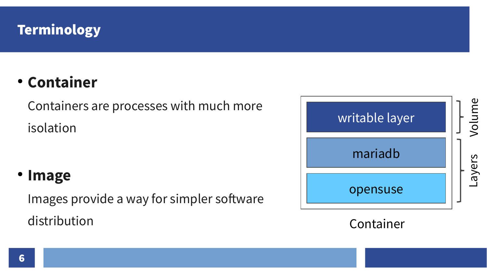## **Terminology**

# • Container

Containers are processes with much more isolation

### ● Image

Images provide a way for simpler software distribution



Container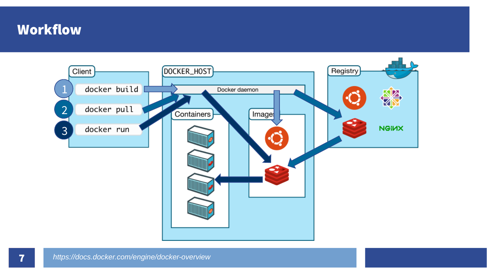#### Workflow

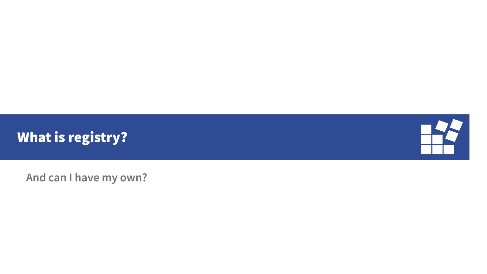



**And can I have my own?**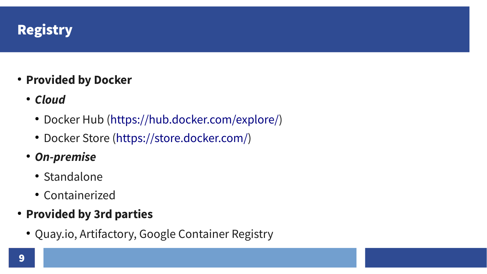## **Registry**

- Provided by Docker
	- Cloud
		- Docker Hub ([https://hub.docker.com/explore/\)](https://hub.docker.com/explore/)
		- Docker Store (<https://store.docker.com/>)
	- On-premise
		- Standalone
		- Containerized
- Provided by 3rd parties
	- Quay.io, Artifactory, Google Container Registry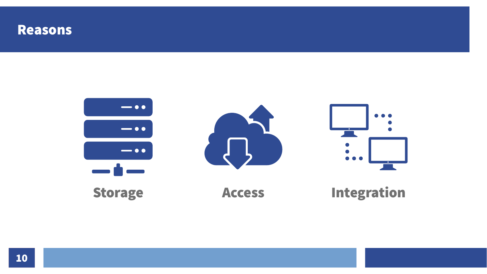#### Reasons

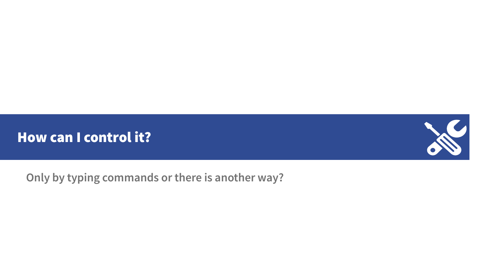



**Only by typing commands or there is another way?**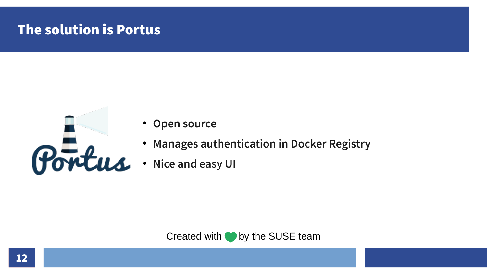## The solution is Portus



- **Open source**
- **Manages authentication in Docker Registry**
- **Nice and easy UI**

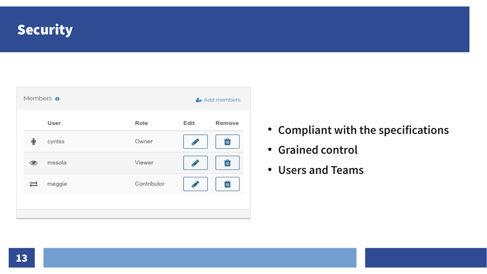#### **Security**

| Members <b>o</b><br>& Add members |        |             |      |        |
|-----------------------------------|--------|-------------|------|--------|
|                                   | User   | Role        | Edit | Remove |
|                                   | cyntss | Owner       |      | 血      |
| ◉                                 | mssola | Viewer      |      | 面      |
|                                   | meggie | Contributor |      | 面      |
|                                   |        |             |      |        |

- **Compliant with the specifications**
- **Grained control**
- **Users and Teams**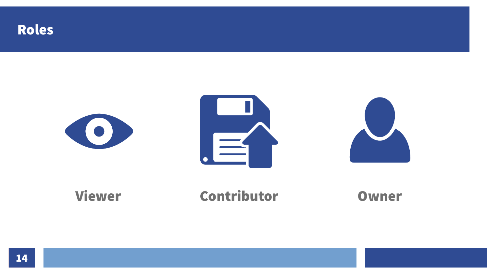



### Viewer Contributor Owner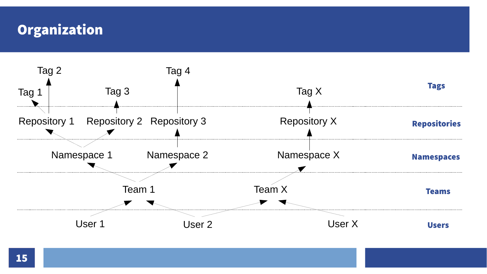#### **Organization**

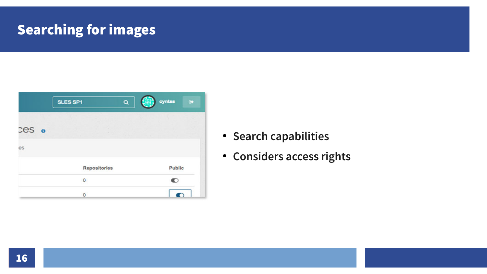## Searching for images

|                        | SLES SP1            | cyntss<br>$\alpha$ | $\bullet$     |
|------------------------|---------------------|--------------------|---------------|
| $\text{ces}$ $\bullet$ |                     |                    |               |
| es                     |                     |                    |               |
|                        | <b>Repositories</b> |                    | <b>Public</b> |
|                        | 0                   | n                  |               |
|                        | O                   |                    |               |

- **Search capabilities**
- **Considers access rights**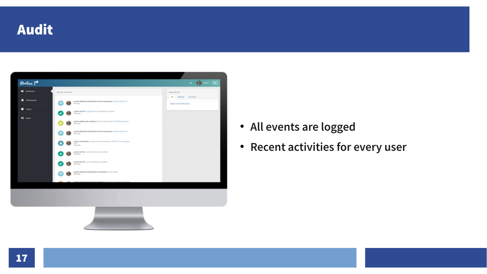



- **All events are logged**
- **Recent activities for every user**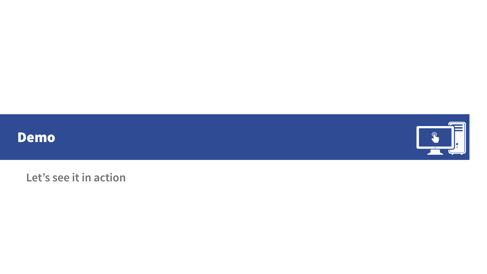



**Let's see it in action**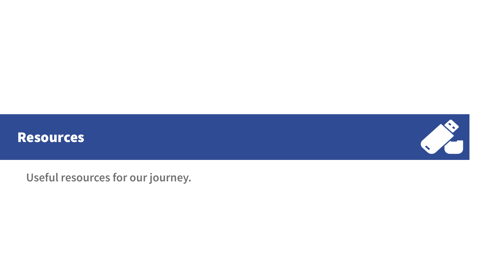



**Useful resources for our journey.**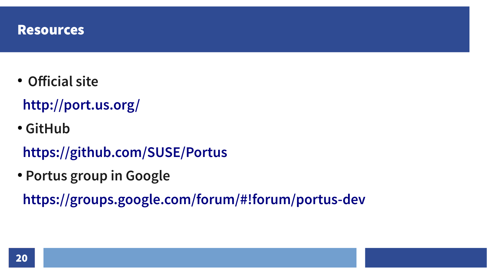

- **Official site**
	- **<http://port.us.org/>**
- **GitHub**
	- **<https://github.com/SUSE/Portus>**
- **Portus group in Google**

**<https://groups.google.com/forum/#!forum/portus-dev>**